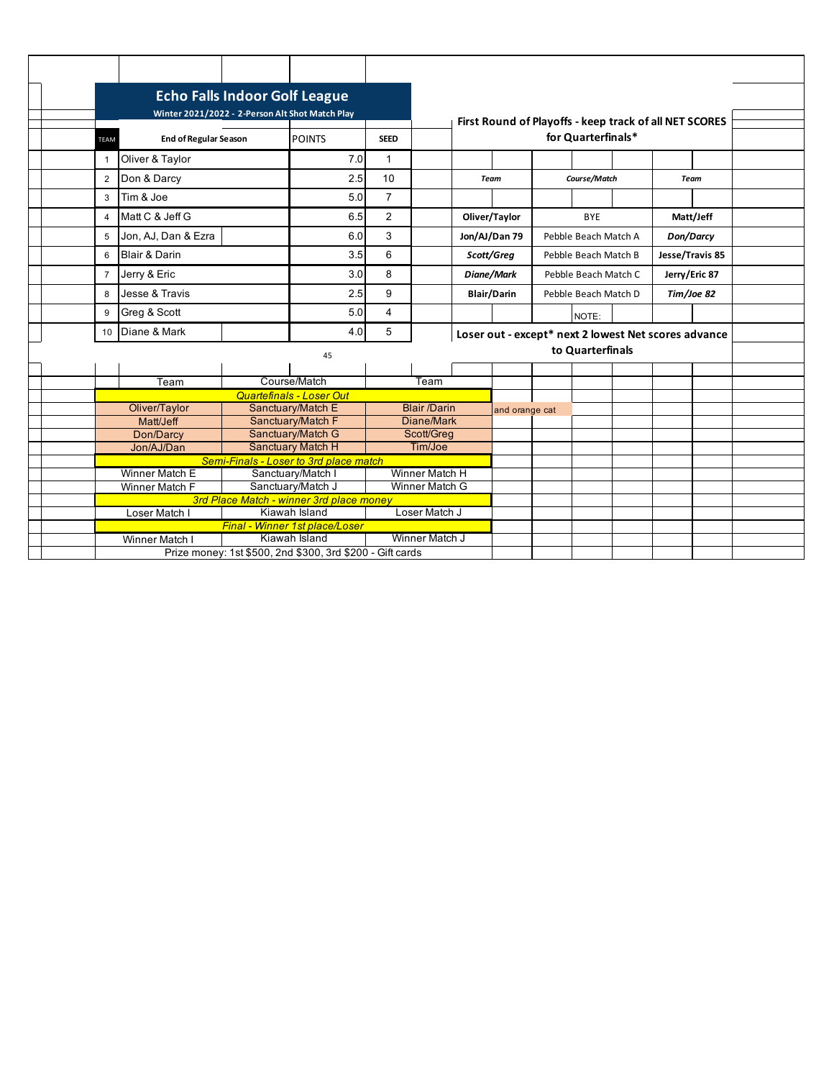| Winter 2021/2022 - 2-Person Alt Shot Match Play |                                                                            |                                                           |                   |                   |                       |                                  |                | First Round of Playoffs - keep track of all NET SCORES |                      |                  |            |                 |  |  |  |
|-------------------------------------------------|----------------------------------------------------------------------------|-----------------------------------------------------------|-------------------|-------------------|-----------------------|----------------------------------|----------------|--------------------------------------------------------|----------------------|------------------|------------|-----------------|--|--|--|
|                                                 | TEAM                                                                       | <b>End of Regular Season</b>                              | <b>POINTS</b>     | <b>SEED</b>       |                       |                                  |                | for Quarterfinals*                                     |                      |                  |            |                 |  |  |  |
|                                                 | -1                                                                         | Oliver & Taylor                                           |                   | 7.0               | $\mathbf{1}$          |                                  |                |                                                        |                      |                  |            |                 |  |  |  |
|                                                 | $\overline{2}$                                                             | Don & Darcy                                               |                   | 2.5               | 10                    |                                  | <b>Team</b>    |                                                        | Course/Match         |                  |            | Team            |  |  |  |
|                                                 | 3                                                                          | Tim & Joe                                                 |                   | 5.0               | $\overline{7}$        |                                  |                |                                                        |                      |                  |            |                 |  |  |  |
|                                                 | $\overline{4}$                                                             | Matt C & Jeff G                                           |                   | 6.5               | $\overline{2}$        |                                  |                | Oliver/Taylor                                          | <b>BYE</b>           |                  | Matt/Jeff  |                 |  |  |  |
|                                                 | 5                                                                          | Jon, AJ, Dan & Ezra                                       |                   |                   | 3                     |                                  |                | Jon/AJ/Dan 79                                          | Pebble Beach Match A |                  | Don/Darcy  |                 |  |  |  |
|                                                 | 6                                                                          | <b>Blair &amp; Darin</b>                                  |                   | 3.5               | 6                     |                                  |                | Scott/Greg                                             | Pebble Beach Match B |                  |            | Jesse/Travis 85 |  |  |  |
|                                                 | $\overline{7}$                                                             | Jerry & Eric                                              |                   | 3.0               | 8                     |                                  |                | Diane/Mark                                             | Pebble Beach Match C |                  |            | Jerry/Eric 87   |  |  |  |
|                                                 | 8                                                                          | Jesse & Travis                                            |                   | 2.5               | 9                     |                                  |                | <b>Blair/Darin</b>                                     | Pebble Beach Match D |                  | Tim/Joe 82 |                 |  |  |  |
|                                                 | 9                                                                          | Greg & Scott                                              |                   | 5.0               | 4                     |                                  |                |                                                        |                      | NOTE:            |            |                 |  |  |  |
|                                                 | 10                                                                         | Diane & Mark                                              |                   | 4.0               | 5                     |                                  |                | Loser out - except* next 2 lowest Net scores advance   |                      |                  |            |                 |  |  |  |
|                                                 | 45                                                                         |                                                           |                   |                   |                       |                                  |                |                                                        |                      | to Quarterfinals |            |                 |  |  |  |
|                                                 |                                                                            |                                                           |                   |                   |                       |                                  |                |                                                        |                      |                  |            |                 |  |  |  |
|                                                 |                                                                            | Team                                                      |                   | Course/Match      |                       | Team                             |                |                                                        |                      |                  |            |                 |  |  |  |
|                                                 | <b>Quartefinals - Loser Out</b>                                            |                                                           |                   |                   |                       |                                  |                |                                                        |                      |                  |            |                 |  |  |  |
|                                                 |                                                                            | Oliver/Taylor                                             |                   | Sanctuary/Match E | <b>Blair /Darin</b>   |                                  | and orange cat |                                                        |                      |                  |            |                 |  |  |  |
|                                                 | Matt/Jeff                                                                  |                                                           | Sanctuary/Match F | Diane/Mark        |                       |                                  |                |                                                        |                      |                  |            |                 |  |  |  |
|                                                 |                                                                            | Don/Darcy                                                 |                   | Sanctuary/Match G | Scott/Greg<br>Tim/Joe |                                  |                |                                                        |                      |                  |            |                 |  |  |  |
|                                                 | <b>Sanctuary Match H</b><br>Jon/AJ/Dan                                     |                                                           |                   |                   |                       |                                  |                |                                                        |                      |                  |            |                 |  |  |  |
|                                                 | Semi-Finals - Loser to 3rd place match<br>Winner Match E                   |                                                           |                   |                   |                       |                                  |                |                                                        |                      |                  |            |                 |  |  |  |
|                                                 |                                                                            | Sanctuary/Match I<br>Sanctuary/Match J<br>Winner Match F  |                   |                   |                       | Winner Match H<br>Winner Match G |                |                                                        |                      |                  |            |                 |  |  |  |
|                                                 |                                                                            |                                                           |                   |                   |                       |                                  |                |                                                        |                      |                  |            |                 |  |  |  |
|                                                 | 3rd Place Match - winner 3rd place money<br>Kiawah Island<br>Loser Match I |                                                           |                   |                   |                       | Loser Match J                    |                |                                                        |                      |                  |            |                 |  |  |  |
|                                                 |                                                                            | Final - Winner 1st place/Loser                            |                   |                   |                       |                                  |                |                                                        |                      |                  |            |                 |  |  |  |
|                                                 |                                                                            | Winner Match I                                            |                   | Winner Match J    |                       |                                  |                |                                                        |                      |                  |            |                 |  |  |  |
|                                                 |                                                                            | Prize money: 1st \$500, 2nd \$300, 3rd \$200 - Gift cards |                   |                   |                       |                                  |                |                                                        |                      |                  |            |                 |  |  |  |